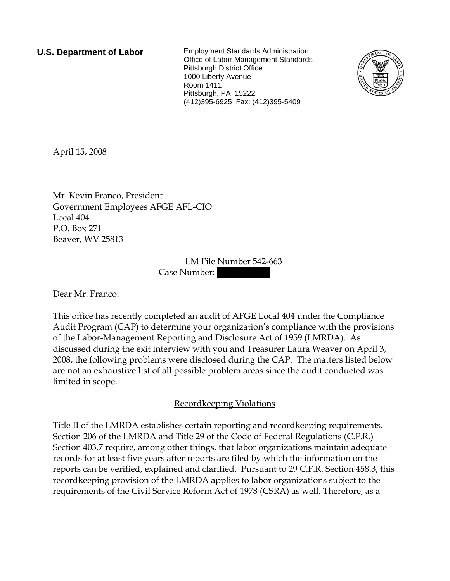**U.S. Department of Labor** Employment Standards Administration Office of Labor-Management Standards Pittsburgh District Office 1000 Liberty Avenue Room 1411 Pittsburgh, PA 15222 (412)395-6925 Fax: (412)395-5409



April 15, 2008

Mr. Kevin Franco, President Government Employees AFGE AFL-CIO Local 404 P.O. Box 271 Beaver, WV 25813

> LM File Number 542-663 Case Number:

Dear Mr. Franco:

This office has recently completed an audit of AFGE Local 404 under the Compliance Audit Program (CAP) to determine your organization's compliance with the provisions of the Labor-Management Reporting and Disclosure Act of 1959 (LMRDA). As discussed during the exit interview with you and Treasurer Laura Weaver on April 3, 2008, the following problems were disclosed during the CAP. The matters listed below are not an exhaustive list of all possible problem areas since the audit conducted was limited in scope.

## Recordkeeping Violations

Title II of the LMRDA establishes certain reporting and recordkeeping requirements. Section 206 of the LMRDA and Title 29 of the Code of Federal Regulations (C.F.R.) Section 403.7 require, among other things, that labor organizations maintain adequate records for at least five years after reports are filed by which the information on the reports can be verified, explained and clarified. Pursuant to 29 C.F.R. Section 458.3, this recordkeeping provision of the LMRDA applies to labor organizations subject to the requirements of the Civil Service Reform Act of 1978 (CSRA) as well. Therefore, as a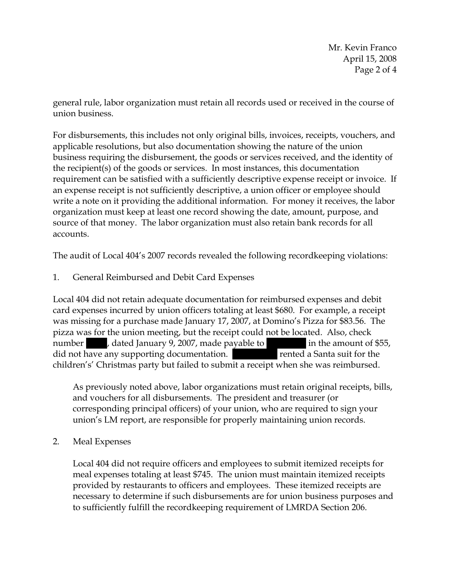Mr. Kevin Franco April 15, 2008 Page 2 of 4

general rule, labor organization must retain all records used or received in the course of union business.

For disbursements, this includes not only original bills, invoices, receipts, vouchers, and applicable resolutions, but also documentation showing the nature of the union business requiring the disbursement, the goods or services received, and the identity of the recipient(s) of the goods or services. In most instances, this documentation requirement can be satisfied with a sufficiently descriptive expense receipt or invoice. If an expense receipt is not sufficiently descriptive, a union officer or employee should write a note on it providing the additional information. For money it receives, the labor organization must keep at least one record showing the date, amount, purpose, and source of that money. The labor organization must also retain bank records for all accounts.

The audit of Local 404's 2007 records revealed the following recordkeeping violations:

1. General Reimbursed and Debit Card Expenses

Local 404 did not retain adequate documentation for reimbursed expenses and debit card expenses incurred by union officers totaling at least \$680. For example, a receipt was missing for a purchase made January 17, 2007, at Domino's Pizza for \$83.56. The pizza was for the union meeting, but the receipt could not be located. Also, check number , dated January 9, 2007, made payable to in the amount of \$55, did not have any supporting documentation. ||| ||||| rented a Santa suit for the children's' Christmas party but failed to submit a receipt when she was reimbursed.

As previously noted above, labor organizations must retain original receipts, bills, and vouchers for all disbursements. The president and treasurer (or corresponding principal officers) of your union, who are required to sign your union's LM report, are responsible for properly maintaining union records.

2. Meal Expenses

Local 404 did not require officers and employees to submit itemized receipts for meal expenses totaling at least \$745. The union must maintain itemized receipts provided by restaurants to officers and employees. These itemized receipts are necessary to determine if such disbursements are for union business purposes and to sufficiently fulfill the recordkeeping requirement of LMRDA Section 206.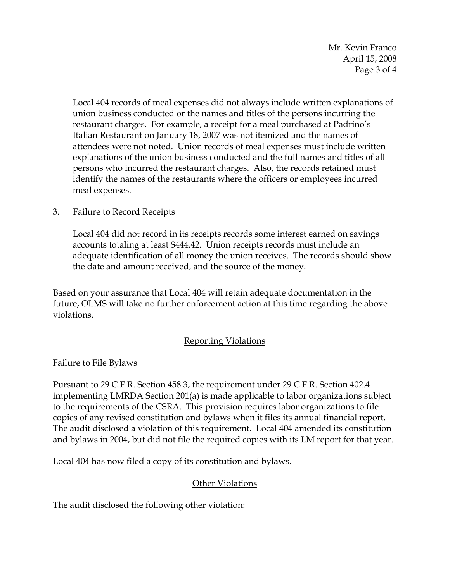Mr. Kevin Franco April 15, 2008 Page 3 of 4

Local 404 records of meal expenses did not always include written explanations of union business conducted or the names and titles of the persons incurring the restaurant charges. For example, a receipt for a meal purchased at Padrino's Italian Restaurant on January 18, 2007 was not itemized and the names of attendees were not noted. Union records of meal expenses must include written explanations of the union business conducted and the full names and titles of all persons who incurred the restaurant charges. Also, the records retained must identify the names of the restaurants where the officers or employees incurred meal expenses.

3. Failure to Record Receipts

Local 404 did not record in its receipts records some interest earned on savings accounts totaling at least \$444.42. Union receipts records must include an adequate identification of all money the union receives. The records should show the date and amount received, and the source of the money.

Based on your assurance that Local 404 will retain adequate documentation in the future, OLMS will take no further enforcement action at this time regarding the above violations.

## Reporting Violations

Failure to File Bylaws

Pursuant to 29 C.F.R. Section 458.3, the requirement under 29 C.F.R. Section 402.4 implementing LMRDA Section 201(a) is made applicable to labor organizations subject to the requirements of the CSRA. This provision requires labor organizations to file copies of any revised constitution and bylaws when it files its annual financial report. The audit disclosed a violation of this requirement. Local 404 amended its constitution and bylaws in 2004, but did not file the required copies with its LM report for that year.

Local 404 has now filed a copy of its constitution and bylaws.

## **Other Violations**

The audit disclosed the following other violation: